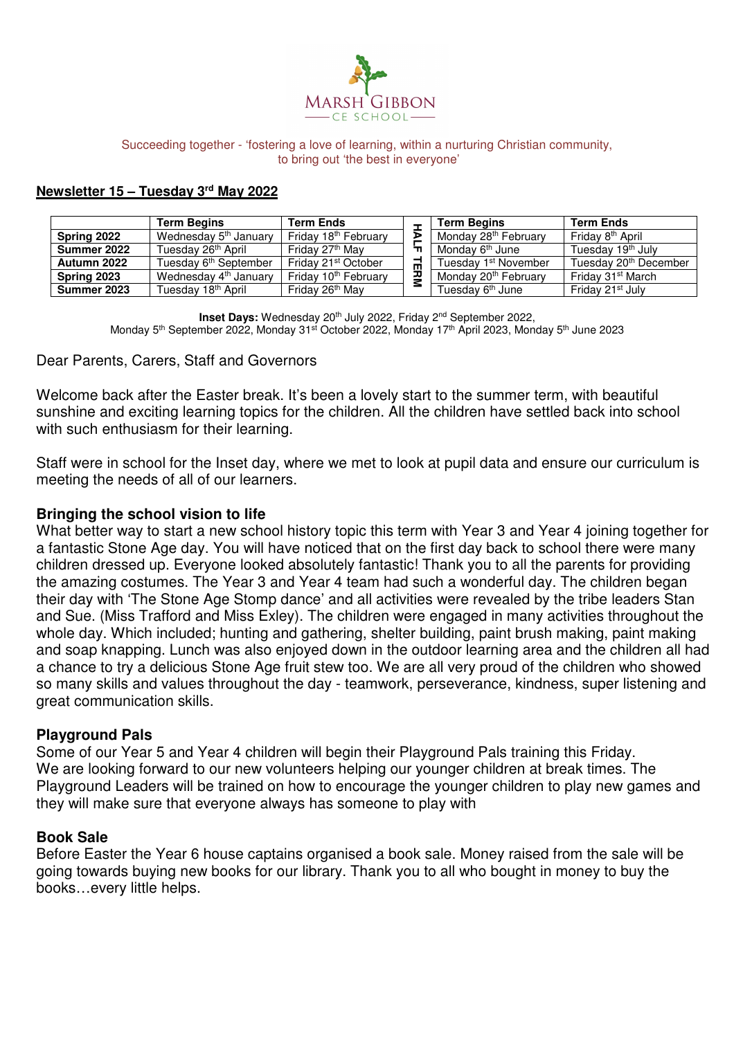

#### Succeeding together - 'fostering a love of learning, within a nurturing Christian community, to bring out 'the best in everyone'

#### **Newsletter 15 – Tuesday 3rd May 2022**

|             | <b>Term Begins</b>                | <b>Term Ends</b>                 |   | <b>Term Begins</b>               | <b>Term Ends</b>                  |
|-------------|-----------------------------------|----------------------------------|---|----------------------------------|-----------------------------------|
| Spring 2022 | Wednesday 5 <sup>th</sup> January | Friday 18 <sup>th</sup> February | D | Monday 28 <sup>th</sup> February | Fridav 8 <sup>th</sup> April      |
| Summer 2022 | Tuesdav 26 <sup>th</sup> April    | Fridav 27 <sup>th</sup> Mav      |   | Mondav 6 <sup>th</sup> June      | Tuesday 19 <sup>th</sup> July     |
| Autumn 2022 | Tuesdav 6 <sup>th</sup> September | Fridav 21st October              | ш | Tuesdav 1st November             | Tuesday 20 <sup>th</sup> December |
| Spring 2023 | Wednesday 4 <sup>th</sup> January | Friday 10 <sup>th</sup> February | ᄁ | Monday 20 <sup>th</sup> February | Friday 31 <sup>st</sup> March     |
| Summer 2023 | Tuesday 18 <sup>th</sup> April    | Friday 26 <sup>th</sup> May      |   | Tuesdav 6 <sup>th</sup> June     | Friday 21 <sup>st</sup> July      |

**Inset Days:** Wednesday 20th July 2022, Friday 2nd September 2022, Monday 5<sup>th</sup> September 2022, Monday 31<sup>st</sup> October 2022, Monday 17<sup>th</sup> April 2023, Monday 5<sup>th</sup> June 2023

#### Dear Parents, Carers, Staff and Governors

Welcome back after the Easter break. It's been a lovely start to the summer term, with beautiful sunshine and exciting learning topics for the children. All the children have settled back into school with such enthusiasm for their learning.

Staff were in school for the Inset day, where we met to look at pupil data and ensure our curriculum is meeting the needs of all of our learners.

#### **Bringing the school vision to life**

What better way to start a new school history topic this term with Year 3 and Year 4 joining together for a fantastic Stone Age day. You will have noticed that on the first day back to school there were many children dressed up. Everyone looked absolutely fantastic! Thank you to all the parents for providing the amazing costumes. The Year 3 and Year 4 team had such a wonderful day. The children began their day with 'The Stone Age Stomp dance' and all activities were revealed by the tribe leaders Stan and Sue. (Miss Trafford and Miss Exley). The children were engaged in many activities throughout the whole day. Which included; hunting and gathering, shelter building, paint brush making, paint making and soap knapping. Lunch was also enjoyed down in the outdoor learning area and the children all had a chance to try a delicious Stone Age fruit stew too. We are all very proud of the children who showed so many skills and values throughout the day - teamwork, perseverance, kindness, super listening and great communication skills.

### **Playground Pals**

Some of our Year 5 and Year 4 children will begin their Playground Pals training this Friday. We are looking forward to our new volunteers helping our younger children at break times. The Playground Leaders will be trained on how to encourage the younger children to play new games and they will make sure that everyone always has someone to play with

#### **Book Sale**

Before Easter the Year 6 house captains organised a book sale. Money raised from the sale will be going towards buying new books for our library. Thank you to all who bought in money to buy the books…every little helps.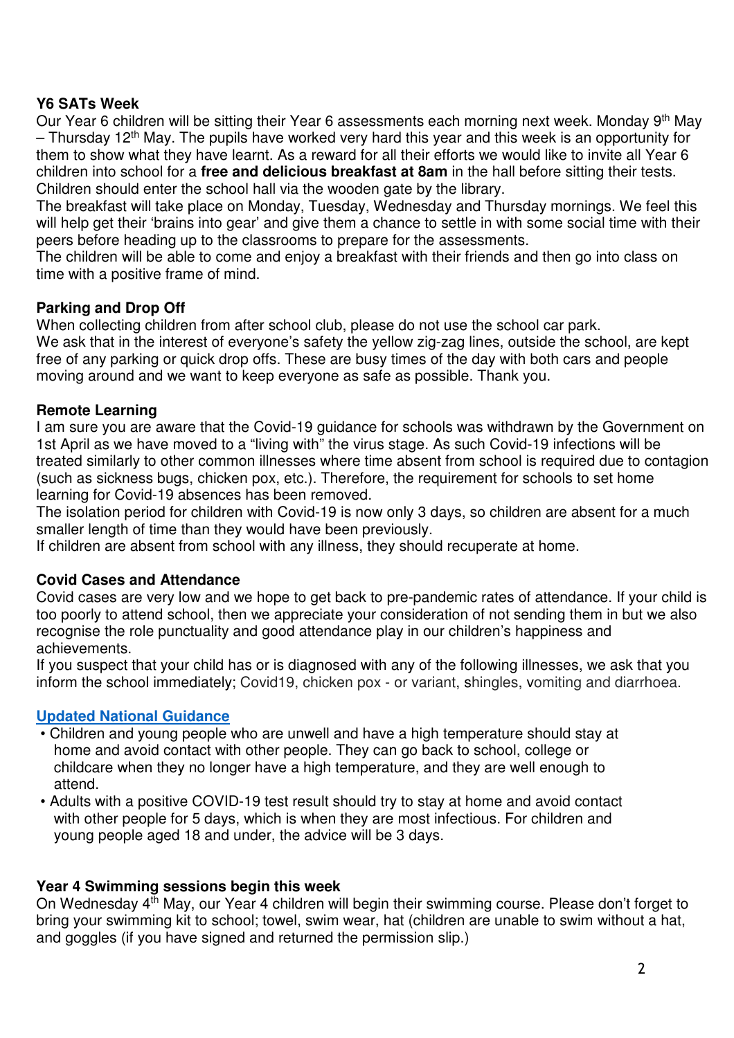# **Y6 SATs Week**

Our Year 6 children will be sitting their Year 6 assessments each morning next week. Monday 9<sup>th</sup> May  $-$  Thursday 12<sup>th</sup> May. The pupils have worked very hard this year and this week is an opportunity for them to show what they have learnt. As a reward for all their efforts we would like to invite all Year 6 children into school for a **free and delicious breakfast at 8am** in the hall before sitting their tests. Children should enter the school hall via the wooden gate by the library.

The breakfast will take place on Monday, Tuesday, Wednesday and Thursday mornings. We feel this will help get their 'brains into gear' and give them a chance to settle in with some social time with their peers before heading up to the classrooms to prepare for the assessments.

The children will be able to come and enjoy a breakfast with their friends and then go into class on time with a positive frame of mind.

# **Parking and Drop Off**

When collecting children from after school club, please do not use the school car park. We ask that in the interest of everyone's safety the yellow zig-zag lines, outside the school, are kept free of any parking or quick drop offs. These are busy times of the day with both cars and people moving around and we want to keep everyone as safe as possible. Thank you.

# **Remote Learning**

I am sure you are aware that the Covid-19 guidance for schools was withdrawn by the Government on 1st April as we have moved to a "living with" the virus stage. As such Covid-19 infections will be treated similarly to other common illnesses where time absent from school is required due to contagion (such as sickness bugs, chicken pox, etc.). Therefore, the requirement for schools to set home learning for Covid-19 absences has been removed.

The isolation period for children with Covid-19 is now only 3 days, so children are absent for a much smaller length of time than they would have been previously.

If children are absent from school with any illness, they should recuperate at home.

### **Covid Cases and Attendance**

Covid cases are very low and we hope to get back to pre-pandemic rates of attendance. If your child is too poorly to attend school, then we appreciate your consideration of not sending them in but we also recognise the role punctuality and good attendance play in our children's happiness and achievements.

If you suspect that your child has or is diagnosed with any of the following illnesses, we ask that you inform the school immediately; Covid19, chicken pox - or variant, shingles, vomiting and diarrhoea.

### **Updated National Guidance**

- Children and young people who are unwell and have a high temperature should stay at home and avoid contact with other people. They can go back to school, college or childcare when they no longer have a high temperature, and they are well enough to attend.
- Adults with a positive COVID-19 test result should try to stay at home and avoid contact with other people for 5 days, which is when they are most infectious. For children and young people aged 18 and under, the advice will be 3 days.

### **Year 4 Swimming sessions begin this week**

On Wednesday 4th May, our Year 4 children will begin their swimming course. Please don't forget to bring your swimming kit to school; towel, swim wear, hat (children are unable to swim without a hat, and goggles (if you have signed and returned the permission slip.)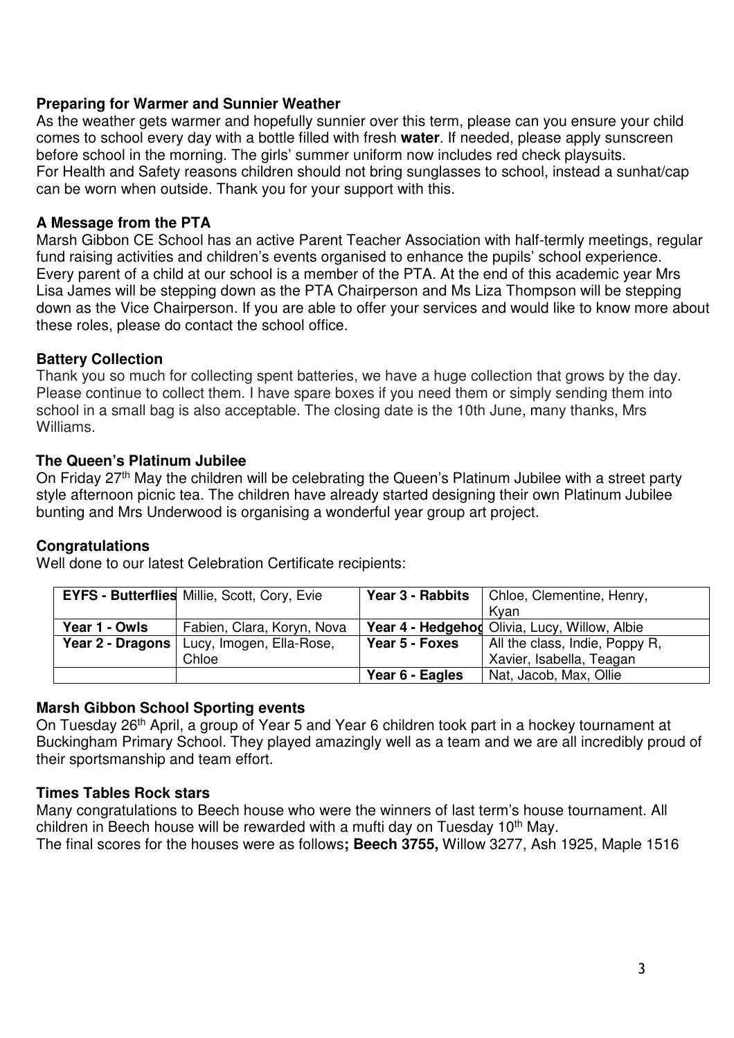# **Preparing for Warmer and Sunnier Weather**

As the weather gets warmer and hopefully sunnier over this term, please can you ensure your child comes to school every day with a bottle filled with fresh **water**. If needed, please apply sunscreen before school in the morning. The girls' summer uniform now includes red check playsuits. For Health and Safety reasons children should not bring sunglasses to school, instead a sunhat/cap can be worn when outside. Thank you for your support with this.

## **A Message from the PTA**

Marsh Gibbon CE School has an active Parent Teacher Association with half-termly meetings, regular fund raising activities and children's events organised to enhance the pupils' school experience. Every parent of a child at our school is a member of the PTA. At the end of this academic year Mrs Lisa James will be stepping down as the PTA Chairperson and Ms Liza Thompson will be stepping down as the Vice Chairperson. If you are able to offer your services and would like to know more about these roles, please do contact the school office.

# **Battery Collection**

Thank you so much for collecting spent batteries, we have a huge collection that grows by the day. Please continue to collect them. I have spare boxes if you need them or simply sending them into school in a small bag is also acceptable. The closing date is the 10th June, many thanks, Mrs Williams.

# **The Queen's Platinum Jubilee**

On Friday 27<sup>th</sup> May the children will be celebrating the Queen's Platinum Jubilee with a street party style afternoon picnic tea. The children have already started designing their own Platinum Jubilee bunting and Mrs Underwood is organising a wonderful year group art project.

### **Congratulations**

Well done to our latest Celebration Certificate recipients:

|                  | <b>EYFS - Butterflies Millie, Scott, Cory, Evie</b> |                 | <b>Year 3 - Rabbits</b>   Chloe, Clementine, Henry, |
|------------------|-----------------------------------------------------|-----------------|-----------------------------------------------------|
|                  |                                                     |                 | Kvan                                                |
| Year 1 - Owls    | Fabien, Clara, Koryn, Nova                          |                 | Year 4 - Hedgehod Olivia, Lucy, Willow, Albie       |
| Year 2 - Dragons | Lucy, Imogen, Ella-Rose,                            | Year 5 - Foxes  | All the class, Indie, Poppy R,                      |
|                  | Chloe                                               |                 | Xavier, Isabella, Teagan                            |
|                  |                                                     | Year 6 - Eagles | Nat, Jacob, Max, Ollie                              |

# **Marsh Gibbon School Sporting events**

On Tuesday 26th April, a group of Year 5 and Year 6 children took part in a hockey tournament at Buckingham Primary School. They played amazingly well as a team and we are all incredibly proud of their sportsmanship and team effort.

# **Times Tables Rock stars**

Many congratulations to Beech house who were the winners of last term's house tournament. All children in Beech house will be rewarded with a mufti day on Tuesday  $10<sup>th</sup>$  May. The final scores for the houses were as follows**; Beech 3755,** Willow 3277, Ash 1925, Maple 1516